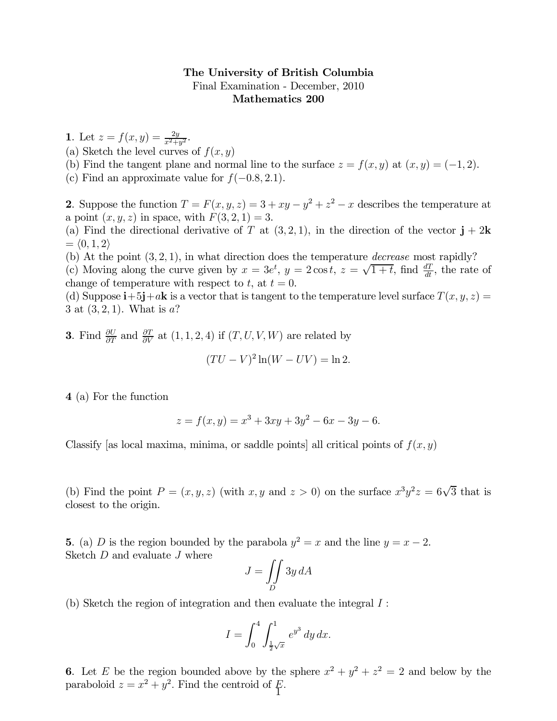## The University of British Columbia Final Examination - December, 2010 Mathematics 200

1. Let  $z = f(x, y) = \frac{2y}{x^2 + y^2}$ .

- (a) Sketch the level curves of  $f(x, y)$
- (b) Find the tangent plane and normal line to the surface  $z = f(x, y)$  at  $(x, y) = (-1, 2)$ .
- (c) Find an approximate value for  $f(-0.8, 2.1)$ .

2. Suppose the function  $T = F(x, y, z) = 3 + xy - y^2 + z^2 - x$  describes the temperature at a point  $(x, y, z)$  in space, with  $F(3, 2, 1) = 3$ .

(a) Find the directional derivative of T at  $(3, 2, 1)$ , in the direction of the vector  $\mathbf{j} + 2\mathbf{k}$  $= \langle 0, 1, 2 \rangle$ 

(b) At the point  $(3, 2, 1)$ , in what direction does the temperature *decrease* most rapidly?

(c) Moving along the curve given by  $x = 3e^t$ ,  $y = 2\cos t$ ,  $z = \sqrt{1+t}$ , find  $\frac{dT}{dt}$ , the rate of change of temperature with respect to t, at  $t = 0$ .

(d) Suppose  $\mathbf{i} + 5\mathbf{j} + a\mathbf{k}$  is a vector that is tangent to the temperature level surface  $T(x, y, z) =$ 3 at  $(3, 2, 1)$ . What is a?

**3**. Find  $\frac{\partial U}{\partial T}$  and  $\frac{\partial T}{\partial V}$  at  $(1, 1, 2, 4)$  if  $(T, U, V, W)$  are related by  $(TU - V)^2 \ln(W - UV) = \ln 2.$ 

4 (a) For the function

$$
z = f(x, y) = x3 + 3xy + 3y2 - 6x - 3y - 6.
$$

Classify [as local maxima, minima, or saddle points] all critical points of  $f(x, y)$ 

(b) Find the point  $P = (x, y, z)$  (with  $x, y$  and  $z > 0$ ) on the surface  $x^3y^2z = 6\sqrt{3}$  that is closest to the origin.

5. (a) D is the region bounded by the parabola  $y^2 = x$  and the line  $y = x - 2$ . Sketch  $D$  and evaluate  $J$  where

$$
J = \iint\limits_{D} 3y\,dA
$$

(b) Sketch the region of integration and then evaluate the integral  $I$ :

$$
I = \int_0^4 \int_{\frac{1}{2}\sqrt{x}}^1 e^{y^3} \, dy \, dx.
$$

6. Let E be the region bounded above by the sphere  $x^2 + y^2 + z^2 = 2$  and below by the paraboloid  $z = x^2 + y^2$ . Find the centroid of  $\cancel{F}$ .